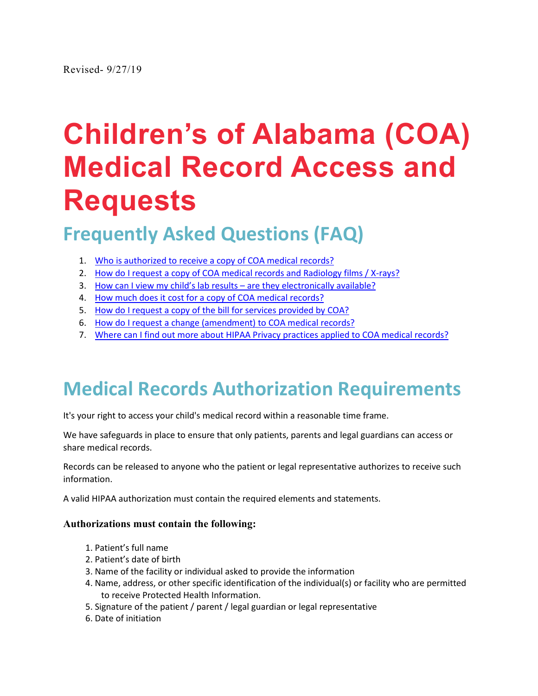# <span id="page-0-1"></span>**Children's of Alabama (COA) Medical Record Access and Requests**

# **Frequently Asked Questions (FAQ)**

- 1. [Who is authorized to receive a copy of COA medical records?](#page-0-0)
- 2. [How do I request a copy of COA medical records and Radiology films / X-rays?](#page-1-0)
- 3. [How can I view my child's lab results are they electronically available?](#page-3-0)
- 4. [How much does it cost for a copy of COA medical records?](#page-2-0)
- 5. [How do I request a copy of the bill for services provided by COA?](#page-3-1)
- 6. [How do I request a change \(amendment\) to COA medical records?](#page-3-2)
- <span id="page-0-0"></span>7. [Where can I find out more about HIPAA Privacy practices applied to COA medical records?](#page-4-0)

# **Medical Records Authorization Requirements**

It's your right to access your child's medical record within a reasonable time frame.

We have safeguards in place to ensure that only patients, parents and legal guardians can access or share medical records.

Records can be released to anyone who the patient or legal representative authorizes to receive such information.

A valid HIPAA authorization must contain the required elements and statements.

#### **Authorizations must contain the following:**

- 1. Patient's full name
- 2. Patient's date of birth
- 3. Name of the facility or individual asked to provide the information
- 4. Name, address, or other specific identification of the individual(s) or facility who are permitted to receive Protected Health Information.
- 5. Signature of the patient / parent / legal guardian or legal representative
- 6. Date of initiation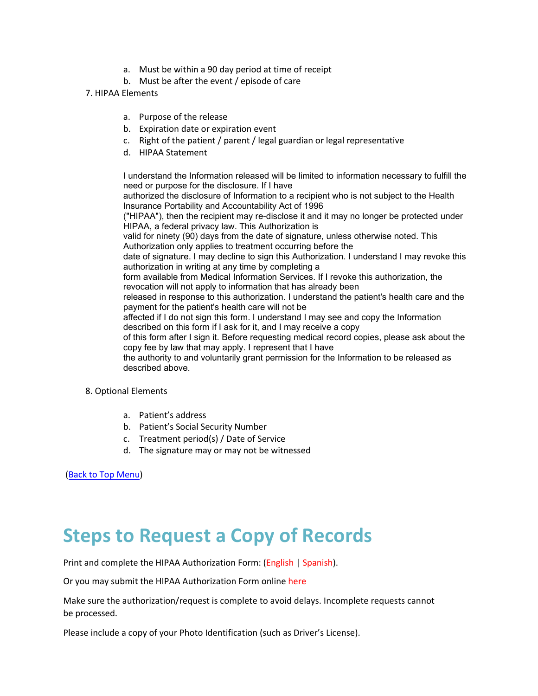- a. Must be within a 90 day period at time of receipt
- b. Must be after the event / episode of care
- 7. HIPAA Elements
	- a. Purpose of the release
	- b. Expiration date or expiration event
	- c. Right of the patient / parent / legal guardian or legal representative
	- d. HIPAA Statement

I understand the Information released will be limited to information necessary to fulfill the need or purpose for the disclosure. If I have authorized the disclosure of Information to a recipient who is not subject to the Health

Insurance Portability and Accountability Act of 1996

("HIPAA"), then the recipient may re-disclose it and it may no longer be protected under HIPAA, a federal privacy law. This Authorization is

valid for ninety (90) days from the date of signature, unless otherwise noted. This Authorization only applies to treatment occurring before the

date of signature. I may decline to sign this Authorization. I understand I may revoke this authorization in writing at any time by completing a

form available from Medical Information Services. If I revoke this authorization, the revocation will not apply to information that has already been

released in response to this authorization. I understand the patient's health care and the payment for the patient's health care will not be

affected if I do not sign this form. I understand I may see and copy the Information described on this form if I ask for it, and I may receive a copy

of this form after I sign it. Before requesting medical record copies, please ask about the copy fee by law that may apply. I represent that I have

the authority to and voluntarily grant permission for the Information to be released as described above.

- 8. Optional Elements
	- a. Patient's address
	- b. Patient's Social Security Number
	- c. Treatment period(s) / Date of Service
	- d. The signature may or may not be witnessed

[\(Back to Top Menu\)](#page-0-1)

### <span id="page-1-0"></span>**Steps to Request a Copy of Records**

Print and complete the HIPAA Authorization Form: [\(English](https://www.childrensal.org/workfiles/parent_resources/Authorization_for_Release_of_Information_764_007_english.pdf) | [Spanish\)](https://www.childrensal.org/workfiles/parent_resources/Authorization_for_Release_of_Information_764_Spanish.pdf).

Or you may submit the HIPAA Authorization Form online [here](https://childrensal-iszsn.formstack.com/forms/requestcopyofmedicalrecord)

Make sure the authorization/request is complete to avoid delays. Incomplete requests cannot be processed.

Please include a copy of your Photo Identification (such as Driver's License).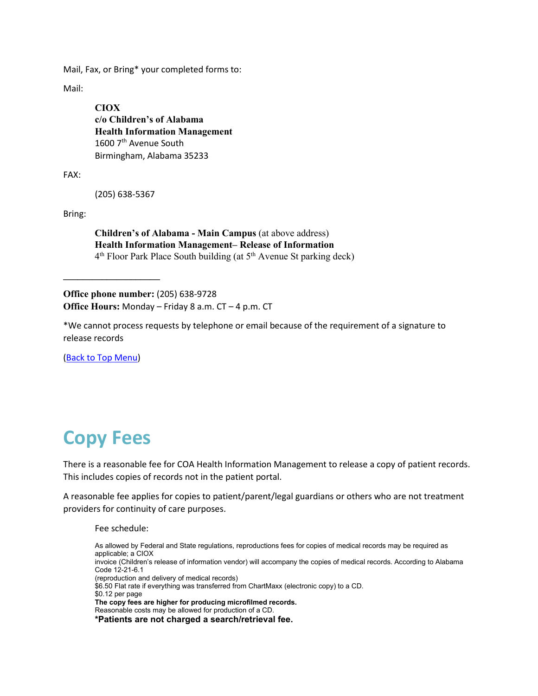Mail, Fax, or Bring\* your completed forms to:

Mail:

**CIOX c/o Children's of Alabama Health Information Management** 1600 7<sup>th</sup> Avenue South Birmingham, Alabama 35233

FAX:

(205) 638-5367

Bring:

**Children's of Alabama - Main Campus** (at above address) **Health Information Management– Release of Information**  4<sup>th</sup> Floor Park Place South building (at 5<sup>th</sup> Avenue St parking deck)

**Office phone number:** (205) 638-9728 **Office Hours:** Monday – Friday 8 a.m. CT – 4 p.m. CT

\*We cannot process requests by telephone or email because of the requirement of a signature to release records

[\(Back to Top Menu\)](#page-0-1)

**\_\_\_\_\_\_\_\_\_\_\_\_\_\_\_\_\_\_\_\_**

### <span id="page-2-0"></span>**Copy Fees**

There is a reasonable fee for COA Health Information Management to release a copy of patient records. This includes copies of records not in the patient portal.

A reasonable fee applies for copies to patient/parent/legal guardians or others who are not treatment providers for continuity of care purposes.

Fee schedule:

As allowed by Federal and State regulations, reproductions fees for copies of medical records may be required as applicable; a CIOX invoice (Children's release of information vendor) will accompany the copies of medical records. According to Alabama Code 12-21-6.1 (reproduction and delivery of medical records) \$6.50 Flat rate if everything was transferred from ChartMaxx (electronic copy) to a CD. \$0.12 per page **The copy fees are higher for producing microfilmed records.** Reasonable costs may be allowed for production of a CD. **\*Patients are not charged a search/retrieval fee.**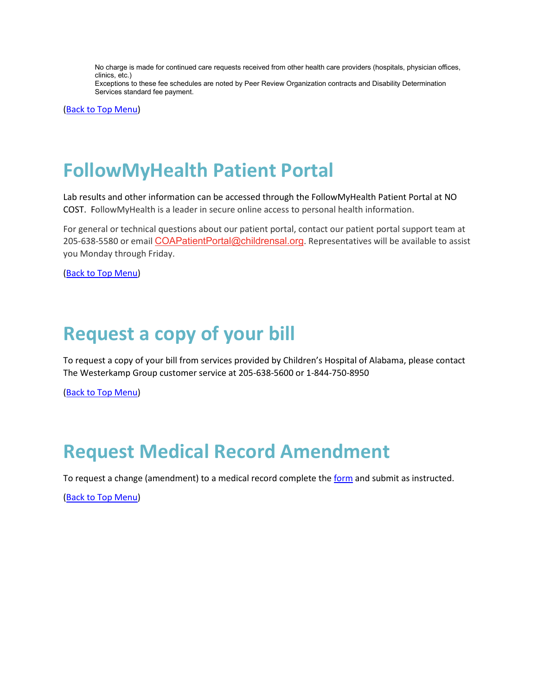No charge is made for continued care requests received from other health care providers (hospitals, physician offices, clinics, etc.)

Exceptions to these fee schedules are noted by Peer Review Organization contracts and Disability Determination Services standard fee payment.

[\(Back to Top Menu\)](#page-0-1)

### <span id="page-3-0"></span>**FollowMyHealth Patient Portal**

Lab results and other information can be accessed through the FollowMyHealth Patient Portal at NO COST. FollowMyHealth is a leader in secure online access to personal health information.

For general or technical questions about our patient portal, contact our patient portal support team at 205-638-5580 or email [COAPatientPortal@childrensal.org](mailto:COAPatientPortal@childrensal.org). Representatives will be available to assist you Monday through Friday.

[\(Back to Top Menu\)](#page-0-1)

### <span id="page-3-1"></span>**Request a copy of your bill**

To request a copy of your bill from services provided by Children's Hospital of Alabama, please contact The Westerkamp Group customer service at 205-638-5600 or 1-844-750-8950

[\(Back to Top Menu\)](#page-0-1)

### <span id="page-3-2"></span>**Request Medical Record Amendment**

To request a change (amendment) to a medical record complete the [form](https://childrensal-iszsn.formstack.com/forms/amendrecordrequest) and submit as instructed.

[\(Back to Top Menu\)](#page-0-1)